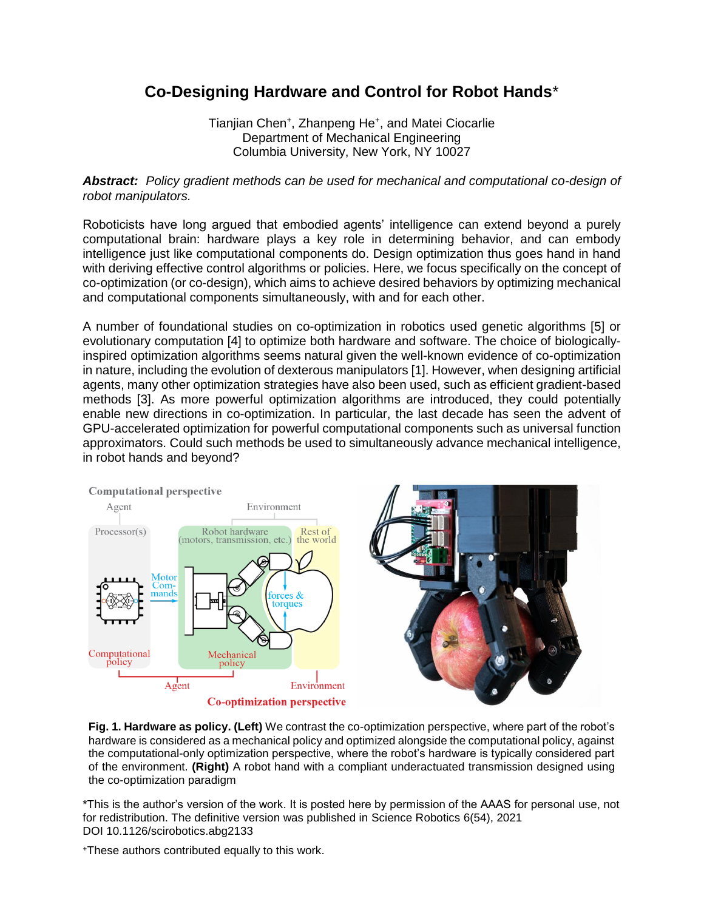## **Co-Designing Hardware and Control for Robot Hands**\*

Tianjian Chen<sup>+</sup> , Zhanpeng He<sup>+</sup> , and Matei Ciocarlie Department of Mechanical Engineering Columbia University, New York, NY 10027

*Abstract: Policy gradient methods can be used for mechanical and computational co-design of robot manipulators.*

Roboticists have long argued that embodied agents' intelligence can extend beyond a purely computational brain: hardware plays a key role in determining behavior, and can embody intelligence just like computational components do. Design optimization thus goes hand in hand with deriving effective control algorithms or policies. Here, we focus specifically on the concept of co-optimization (or co-design), which aims to achieve desired behaviors by optimizing mechanical and computational components simultaneously, with and for each other.

A number of foundational studies on co-optimization in robotics used genetic algorithms [5] or evolutionary computation [4] to optimize both hardware and software. The choice of biologicallyinspired optimization algorithms seems natural given the well-known evidence of co-optimization in nature, including the evolution of dexterous manipulators [1]. However, when designing artificial agents, many other optimization strategies have also been used, such as efficient gradient-based methods [3]. As more powerful optimization algorithms are introduced, they could potentially enable new directions in co-optimization. In particular, the last decade has seen the advent of GPU-accelerated optimization for powerful computational components such as universal function approximators. Could such methods be used to simultaneously advance mechanical intelligence, in robot hands and beyond?



**Fig. 1. Hardware as policy. (Left)** We contrast the co-optimization perspective, where part of the robot's hardware is considered as a mechanical policy and optimized alongside the computational policy, against the computational-only optimization perspective, where the robot's hardware is typically considered part of the environment. **(Right)** A robot hand with a compliant underactuated transmission designed using the co-optimization paradigm

\*This is the author's version of the work. It is posted here by permission of the AAAS for personal use, not for redistribution. The definitive version was published in Science Robotics 6(54), 2021 DOI 10.1126/scirobotics.abg2133

<sup>+</sup>These authors contributed equally to this work.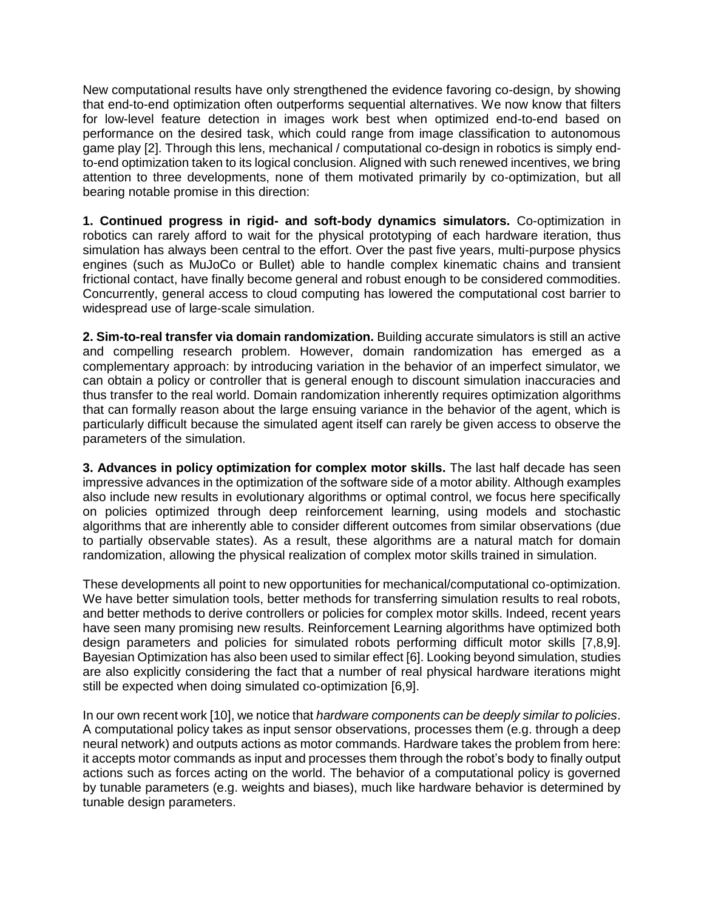New computational results have only strengthened the evidence favoring co-design, by showing that end-to-end optimization often outperforms sequential alternatives. We now know that filters for low-level feature detection in images work best when optimized end-to-end based on performance on the desired task, which could range from image classification to autonomous game play [2]. Through this lens, mechanical / computational co-design in robotics is simply endto-end optimization taken to its logical conclusion. Aligned with such renewed incentives, we bring attention to three developments, none of them motivated primarily by co-optimization, but all bearing notable promise in this direction:

**1. Continued progress in rigid- and soft-body dynamics simulators.** Co-optimization in robotics can rarely afford to wait for the physical prototyping of each hardware iteration, thus simulation has always been central to the effort. Over the past five years, multi-purpose physics engines (such as MuJoCo or Bullet) able to handle complex kinematic chains and transient frictional contact, have finally become general and robust enough to be considered commodities. Concurrently, general access to cloud computing has lowered the computational cost barrier to widespread use of large-scale simulation.

**2. Sim-to-real transfer via domain randomization.** Building accurate simulators is still an active and compelling research problem. However, domain randomization has emerged as a complementary approach: by introducing variation in the behavior of an imperfect simulator, we can obtain a policy or controller that is general enough to discount simulation inaccuracies and thus transfer to the real world. Domain randomization inherently requires optimization algorithms that can formally reason about the large ensuing variance in the behavior of the agent, which is particularly difficult because the simulated agent itself can rarely be given access to observe the parameters of the simulation.

**3. Advances in policy optimization for complex motor skills.** The last half decade has seen impressive advances in the optimization of the software side of a motor ability. Although examples also include new results in evolutionary algorithms or optimal control, we focus here specifically on policies optimized through deep reinforcement learning, using models and stochastic algorithms that are inherently able to consider different outcomes from similar observations (due to partially observable states). As a result, these algorithms are a natural match for domain randomization, allowing the physical realization of complex motor skills trained in simulation.

These developments all point to new opportunities for mechanical/computational co-optimization. We have better simulation tools, better methods for transferring simulation results to real robots, and better methods to derive controllers or policies for complex motor skills. Indeed, recent years have seen many promising new results. Reinforcement Learning algorithms have optimized both design parameters and policies for simulated robots performing difficult motor skills [7,8,9]. Bayesian Optimization has also been used to similar effect [6]. Looking beyond simulation, studies are also explicitly considering the fact that a number of real physical hardware iterations might still be expected when doing simulated co-optimization [6,9].

In our own recent work [10], we notice that *hardware components can be deeply similar to policies*. A computational policy takes as input sensor observations, processes them (e.g. through a deep neural network) and outputs actions as motor commands. Hardware takes the problem from here: it accepts motor commands as input and processes them through the robot's body to finally output actions such as forces acting on the world. The behavior of a computational policy is governed by tunable parameters (e.g. weights and biases), much like hardware behavior is determined by tunable design parameters.